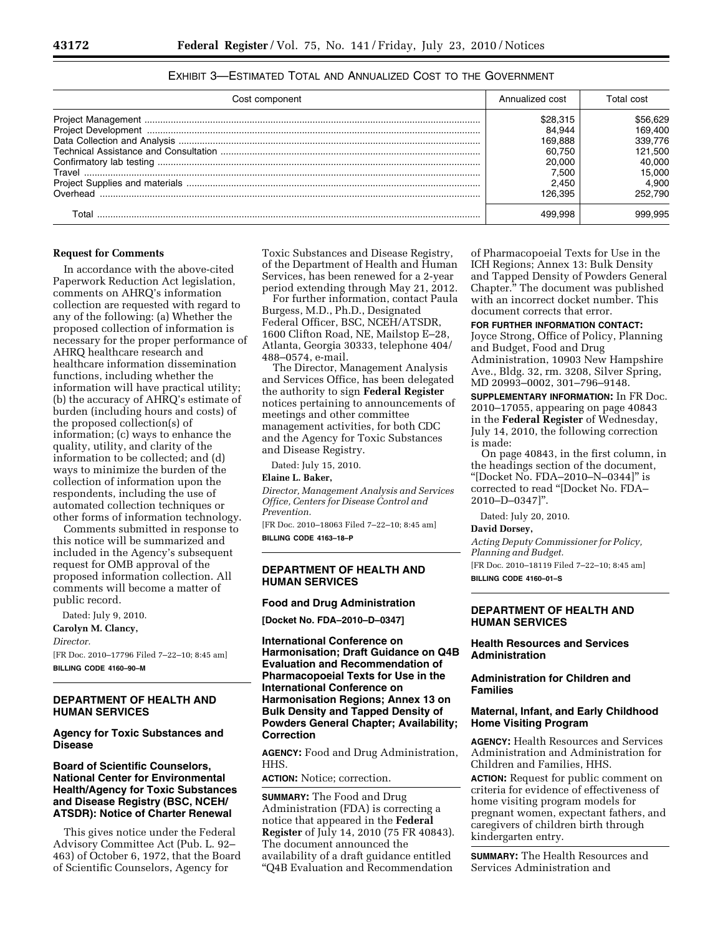| Cost component | Annualized cost | Total cost |
|----------------|-----------------|------------|
|                | \$28,315        | \$56,629   |
|                | 84.944          | 169.400    |
|                | 169.888         | 339.776    |
|                | 60.750          | 121.500    |
|                | 20,000          | 40.000     |
| Travel         | 7.500           | 15.000     |
|                | 2.450           | 4.900      |
| Overhead       | 126.395         | 252.790    |
| ⊺otal          |                 | 999.995    |

# EXHIBIT 3—ESTIMATED TOTAL AND ANNUALIZED COST TO THE GOVERNMENT

#### **Request for Comments**

In accordance with the above-cited Paperwork Reduction Act legislation, comments on AHRQ's information collection are requested with regard to any of the following: (a) Whether the proposed collection of information is necessary for the proper performance of AHRQ healthcare research and healthcare information dissemination functions, including whether the information will have practical utility; (b) the accuracy of AHRQ's estimate of burden (including hours and costs) of the proposed collection(s) of information; (c) ways to enhance the quality, utility, and clarity of the information to be collected; and (d) ways to minimize the burden of the collection of information upon the respondents, including the use of automated collection techniques or other forms of information technology.

Comments submitted in response to this notice will be summarized and included in the Agency's subsequent request for OMB approval of the proposed information collection. All comments will become a matter of public record.

Dated: July 9, 2010.

# **Carolyn M. Clancy,**

*Director.* 

[FR Doc. 2010–17796 Filed 7–22–10; 8:45 am] **BILLING CODE 4160–90–M** 

### **DEPARTMENT OF HEALTH AND HUMAN SERVICES**

# **Agency for Toxic Substances and Disease**

# **Board of Scientific Counselors, National Center for Environmental Health/Agency for Toxic Substances and Disease Registry (BSC, NCEH/ ATSDR): Notice of Charter Renewal**

This gives notice under the Federal Advisory Committee Act (Pub. L. 92– 463) of October 6, 1972, that the Board of Scientific Counselors, Agency for

Toxic Substances and Disease Registry, of the Department of Health and Human Services, has been renewed for a 2-year period extending through May 21, 2012.

For further information, contact Paula Burgess, M.D., Ph.D., Designated Federal Officer, BSC, NCEH/ATSDR, 1600 Clifton Road, NE, Mailstop E–28, Atlanta, Georgia 30333, telephone 404/ 488–0574, e-mail.

The Director, Management Analysis and Services Office, has been delegated the authority to sign **Federal Register**  notices pertaining to announcements of meetings and other committee management activities, for both CDC and the Agency for Toxic Substances and Disease Registry.

Dated: July 15, 2010.

#### **Elaine L. Baker,**

*Director, Management Analysis and Services Office, Centers for Disease Control and Prevention.* 

[FR Doc. 2010–18063 Filed 7–22–10; 8:45 am] **BILLING CODE 4163–18–P** 

# **DEPARTMENT OF HEALTH AND HUMAN SERVICES**

## **Food and Drug Administration**

**[Docket No. FDA–2010–D–0347]** 

**International Conference on Harmonisation; Draft Guidance on Q4B Evaluation and Recommendation of Pharmacopoeial Texts for Use in the International Conference on Harmonisation Regions; Annex 13 on Bulk Density and Tapped Density of Powders General Chapter; Availability; Correction** 

**AGENCY:** Food and Drug Administration, HHS.

# **ACTION:** Notice; correction.

**SUMMARY:** The Food and Drug Administration (FDA) is correcting a notice that appeared in the **Federal Register** of July 14, 2010 (75 FR 40843). The document announced the availability of a draft guidance entitled ''Q4B Evaluation and Recommendation

of Pharmacopoeial Texts for Use in the ICH Regions; Annex 13: Bulk Density and Tapped Density of Powders General Chapter.'' The document was published with an incorrect docket number. This document corrects that error.

**FOR FURTHER INFORMATION CONTACT:** 

Joyce Strong, Office of Policy, Planning and Budget, Food and Drug Administration, 10903 New Hampshire Ave., Bldg. 32, rm. 3208, Silver Spring, MD 20993–0002, 301–796–9148.

**SUPPLEMENTARY INFORMATION:** In FR Doc. 2010–17055, appearing on page 40843 in the **Federal Register** of Wednesday, July 14, 2010, the following correction is made:

On page 40843, in the first column, in the headings section of the document, ''[Docket No. FDA–2010–N–0344]'' is corrected to read ''[Docket No. FDA– 2010–D–0347]''.

Dated: July 20, 2010.

#### **David Dorsey,**

*Acting Deputy Commissioner for Policy, Planning and Budget.*  [FR Doc. 2010–18119 Filed 7–22–10; 8:45 am] **BILLING CODE 4160–01–S** 

**DEPARTMENT OF HEALTH AND HUMAN SERVICES** 

## **Health Resources and Services Administration**

## **Administration for Children and Families**

# **Maternal, Infant, and Early Childhood Home Visiting Program**

**AGENCY:** Health Resources and Services Administration and Administration for Children and Families, HHS.

**ACTION:** Request for public comment on criteria for evidence of effectiveness of home visiting program models for pregnant women, expectant fathers, and caregivers of children birth through kindergarten entry.

**SUMMARY:** The Health Resources and Services Administration and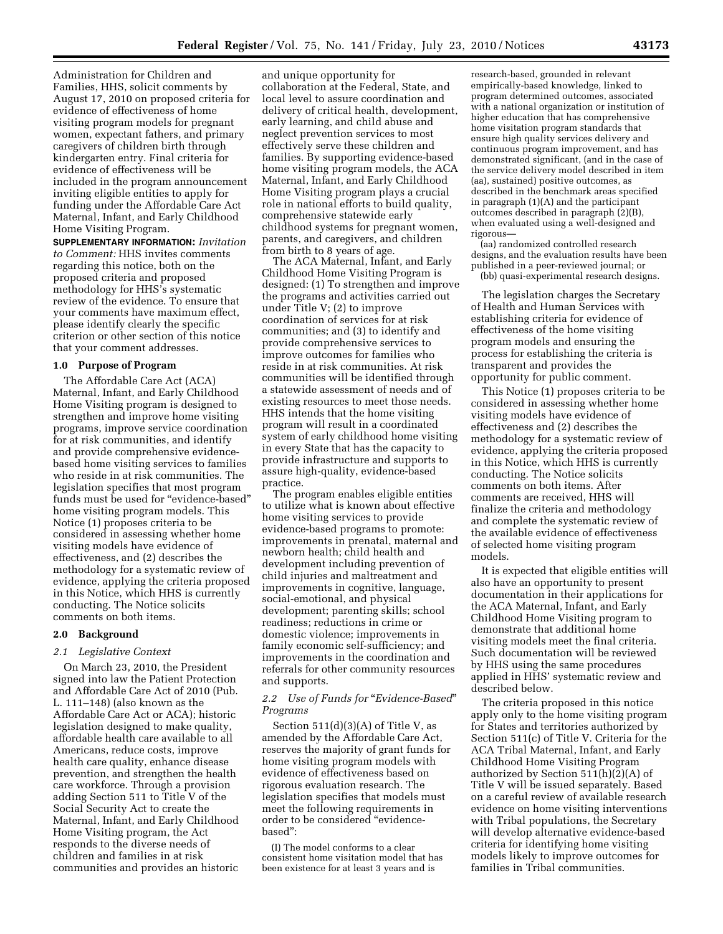Administration for Children and Families, HHS, solicit comments by August 17, 2010 on proposed criteria for evidence of effectiveness of home visiting program models for pregnant women, expectant fathers, and primary caregivers of children birth through kindergarten entry. Final criteria for evidence of effectiveness will be included in the program announcement inviting eligible entities to apply for funding under the Affordable Care Act Maternal, Infant, and Early Childhood Home Visiting Program.

**SUPPLEMENTARY INFORMATION:** *Invitation to Comment:* HHS invites comments regarding this notice, both on the proposed criteria and proposed methodology for HHS's systematic review of the evidence. To ensure that your comments have maximum effect, please identify clearly the specific criterion or other section of this notice that your comment addresses.

#### **1.0 Purpose of Program**

The Affordable Care Act (ACA) Maternal, Infant, and Early Childhood Home Visiting program is designed to strengthen and improve home visiting programs, improve service coordination for at risk communities, and identify and provide comprehensive evidencebased home visiting services to families who reside in at risk communities. The legislation specifies that most program funds must be used for "evidence-based" home visiting program models. This Notice (1) proposes criteria to be considered in assessing whether home visiting models have evidence of effectiveness, and (2) describes the methodology for a systematic review of evidence, applying the criteria proposed in this Notice, which HHS is currently conducting. The Notice solicits comments on both items.

#### **2.0 Background**

#### *2.1 Legislative Context*

On March 23, 2010, the President signed into law the Patient Protection and Affordable Care Act of 2010 (Pub. L. 111–148) (also known as the Affordable Care Act or ACA); historic legislation designed to make quality, affordable health care available to all Americans, reduce costs, improve health care quality, enhance disease prevention, and strengthen the health care workforce. Through a provision adding Section 511 to Title V of the Social Security Act to create the Maternal, Infant, and Early Childhood Home Visiting program, the Act responds to the diverse needs of children and families in at risk communities and provides an historic

and unique opportunity for collaboration at the Federal, State, and local level to assure coordination and delivery of critical health, development, early learning, and child abuse and neglect prevention services to most effectively serve these children and families. By supporting evidence-based home visiting program models, the ACA Maternal, Infant, and Early Childhood Home Visiting program plays a crucial role in national efforts to build quality, comprehensive statewide early childhood systems for pregnant women, parents, and caregivers, and children from birth to 8 years of age.

The ACA Maternal, Infant, and Early Childhood Home Visiting Program is designed: (1) To strengthen and improve the programs and activities carried out under Title V; (2) to improve coordination of services for at risk communities; and (3) to identify and provide comprehensive services to improve outcomes for families who reside in at risk communities. At risk communities will be identified through a statewide assessment of needs and of existing resources to meet those needs. HHS intends that the home visiting program will result in a coordinated system of early childhood home visiting in every State that has the capacity to provide infrastructure and supports to assure high-quality, evidence-based practice.

The program enables eligible entities to utilize what is known about effective home visiting services to provide evidence-based programs to promote: improvements in prenatal, maternal and newborn health; child health and development including prevention of child injuries and maltreatment and improvements in cognitive, language, social-emotional, and physical development; parenting skills; school readiness; reductions in crime or domestic violence; improvements in family economic self-sufficiency; and improvements in the coordination and referrals for other community resources and supports.

# *2.2 Use of Funds for* ''*Evidence-Based*'' *Programs*

Section  $511(d)(3)(A)$  of Title V, as amended by the Affordable Care Act, reserves the majority of grant funds for home visiting program models with evidence of effectiveness based on rigorous evaluation research. The legislation specifies that models must meet the following requirements in order to be considered ''evidencebased'':

(I) The model conforms to a clear consistent home visitation model that has been existence for at least 3 years and is

research-based, grounded in relevant empirically-based knowledge, linked to program determined outcomes, associated with a national organization or institution of higher education that has comprehensive home visitation program standards that ensure high quality services delivery and continuous program improvement, and has demonstrated significant, (and in the case of the service delivery model described in item (aa), sustained) positive outcomes, as described in the benchmark areas specified in paragraph (1)(A) and the participant outcomes described in paragraph (2)(B), when evaluated using a well-designed and rigorous—

(aa) randomized controlled research designs, and the evaluation results have been published in a peer-reviewed journal; or (bb) quasi-experimental research designs.

The legislation charges the Secretary of Health and Human Services with establishing criteria for evidence of effectiveness of the home visiting program models and ensuring the process for establishing the criteria is transparent and provides the opportunity for public comment.

This Notice (1) proposes criteria to be considered in assessing whether home visiting models have evidence of effectiveness and (2) describes the methodology for a systematic review of evidence, applying the criteria proposed in this Notice, which HHS is currently conducting. The Notice solicits comments on both items. After comments are received, HHS will finalize the criteria and methodology and complete the systematic review of the available evidence of effectiveness of selected home visiting program models.

It is expected that eligible entities will also have an opportunity to present documentation in their applications for the ACA Maternal, Infant, and Early Childhood Home Visiting program to demonstrate that additional home visiting models meet the final criteria. Such documentation will be reviewed by HHS using the same procedures applied in HHS' systematic review and described below.

The criteria proposed in this notice apply only to the home visiting program for States and territories authorized by Section 511(c) of Title V. Criteria for the ACA Tribal Maternal, Infant, and Early Childhood Home Visiting Program authorized by Section 511(h)(2)(A) of Title V will be issued separately. Based on a careful review of available research evidence on home visiting interventions with Tribal populations, the Secretary will develop alternative evidence-based criteria for identifying home visiting models likely to improve outcomes for families in Tribal communities.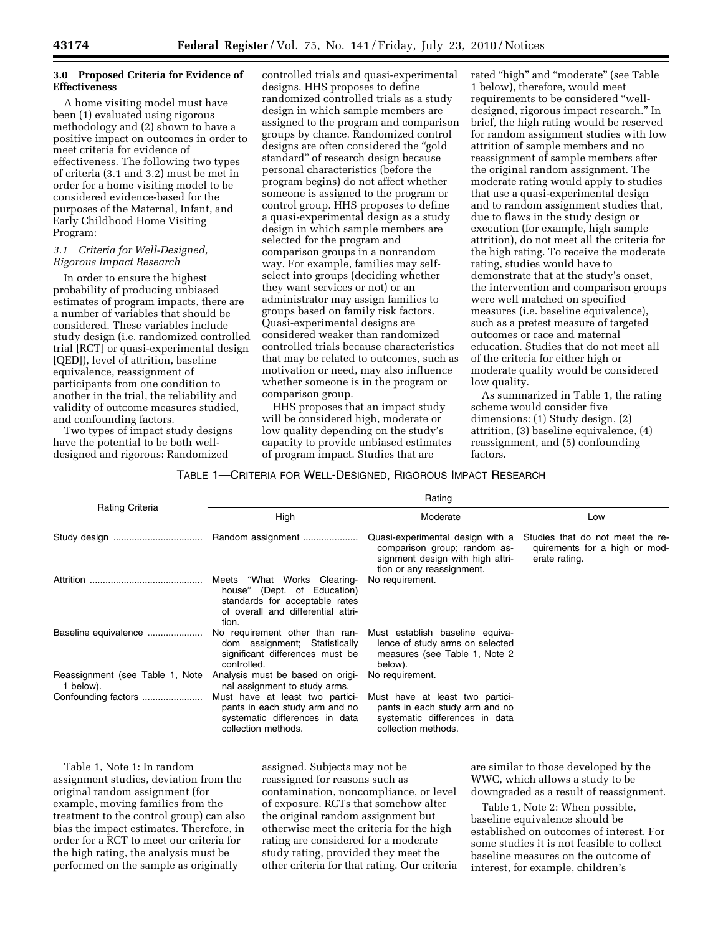# **3.0 Proposed Criteria for Evidence of Effectiveness**

A home visiting model must have been (1) evaluated using rigorous methodology and (2) shown to have a positive impact on outcomes in order to meet criteria for evidence of effectiveness. The following two types of criteria (3.1 and 3.2) must be met in order for a home visiting model to be considered evidence-based for the purposes of the Maternal, Infant, and Early Childhood Home Visiting Program:

## *3.1 Criteria for Well-Designed, Rigorous Impact Research*

In order to ensure the highest probability of producing unbiased estimates of program impacts, there are a number of variables that should be considered. These variables include study design (i.e. randomized controlled trial [RCT] or quasi-experimental design [QED]), level of attrition, baseline equivalence, reassignment of participants from one condition to another in the trial, the reliability and validity of outcome measures studied, and confounding factors.

Two types of impact study designs have the potential to be both welldesigned and rigorous: Randomized

controlled trials and quasi-experimental designs. HHS proposes to define randomized controlled trials as a study design in which sample members are assigned to the program and comparison groups by chance. Randomized control designs are often considered the ''gold standard'' of research design because personal characteristics (before the program begins) do not affect whether someone is assigned to the program or control group. HHS proposes to define a quasi-experimental design as a study design in which sample members are selected for the program and comparison groups in a nonrandom way. For example, families may selfselect into groups (deciding whether they want services or not) or an administrator may assign families to groups based on family risk factors. Quasi-experimental designs are considered weaker than randomized controlled trials because characteristics that may be related to outcomes, such as motivation or need, may also influence whether someone is in the program or comparison group.

HHS proposes that an impact study will be considered high, moderate or low quality depending on the study's capacity to provide unbiased estimates of program impact. Studies that are

rated "high" and "moderate" (see Table 1 below), therefore, would meet requirements to be considered ''welldesigned, rigorous impact research.'' In brief, the high rating would be reserved for random assignment studies with low attrition of sample members and no reassignment of sample members after the original random assignment. The moderate rating would apply to studies that use a quasi-experimental design and to random assignment studies that, due to flaws in the study design or execution (for example, high sample attrition), do not meet all the criteria for the high rating. To receive the moderate rating, studies would have to demonstrate that at the study's onset, the intervention and comparison groups were well matched on specified measures (i.e. baseline equivalence), such as a pretest measure of targeted outcomes or race and maternal education. Studies that do not meet all of the criteria for either high or moderate quality would be considered low quality.

As summarized in Table 1, the rating scheme would consider five dimensions: (1) Study design, (2) attrition, (3) baseline equivalence, (4) reassignment, and (5) confounding factors.

#### TABLE 1—CRITERIA FOR WELL-DESIGNED, RIGOROUS IMPACT RESEARCH

|                                              | Rating                                                                                                                                      |                                                                                                                                   |                                                                                    |  |
|----------------------------------------------|---------------------------------------------------------------------------------------------------------------------------------------------|-----------------------------------------------------------------------------------------------------------------------------------|------------------------------------------------------------------------------------|--|
| Rating Criteria                              | High                                                                                                                                        | Moderate                                                                                                                          | Low                                                                                |  |
|                                              | Random assignment                                                                                                                           | Quasi-experimental design with a<br>comparison group; random as-<br>signment design with high attri-<br>tion or any reassignment. | Studies that do not meet the re-<br>quirements for a high or mod-<br>erate rating. |  |
| Attrition                                    | Meets "What Works Clearing-<br>house" (Dept. of Education)<br>standards for acceptable rates<br>of overall and differential attri-<br>tion. | No requirement.                                                                                                                   |                                                                                    |  |
| Baseline equivalence                         | No requirement other than ran-<br>dom assignment; Statistically<br>significant differences must be<br>controlled.                           | Must establish baseline equiva-<br>lence of study arms on selected<br>measures (see Table 1, Note 2<br>below).                    |                                                                                    |  |
| Reassignment (see Table 1, Note<br>1 below). | Analysis must be based on origi-<br>nal assignment to study arms.                                                                           | No requirement.                                                                                                                   |                                                                                    |  |
|                                              | Must have at least two partici-<br>pants in each study arm and no<br>systematic differences in data<br>collection methods.                  | Must have at least two partici-<br>pants in each study arm and no<br>systematic differences in data<br>collection methods.        |                                                                                    |  |

Table 1, Note 1: In random assignment studies, deviation from the original random assignment (for example, moving families from the treatment to the control group) can also bias the impact estimates. Therefore, in order for a RCT to meet our criteria for the high rating, the analysis must be performed on the sample as originally

assigned. Subjects may not be reassigned for reasons such as contamination, noncompliance, or level of exposure. RCTs that somehow alter the original random assignment but otherwise meet the criteria for the high rating are considered for a moderate study rating, provided they meet the other criteria for that rating. Our criteria are similar to those developed by the WWC, which allows a study to be downgraded as a result of reassignment.

Table 1, Note 2: When possible, baseline equivalence should be established on outcomes of interest. For some studies it is not feasible to collect baseline measures on the outcome of interest, for example, children's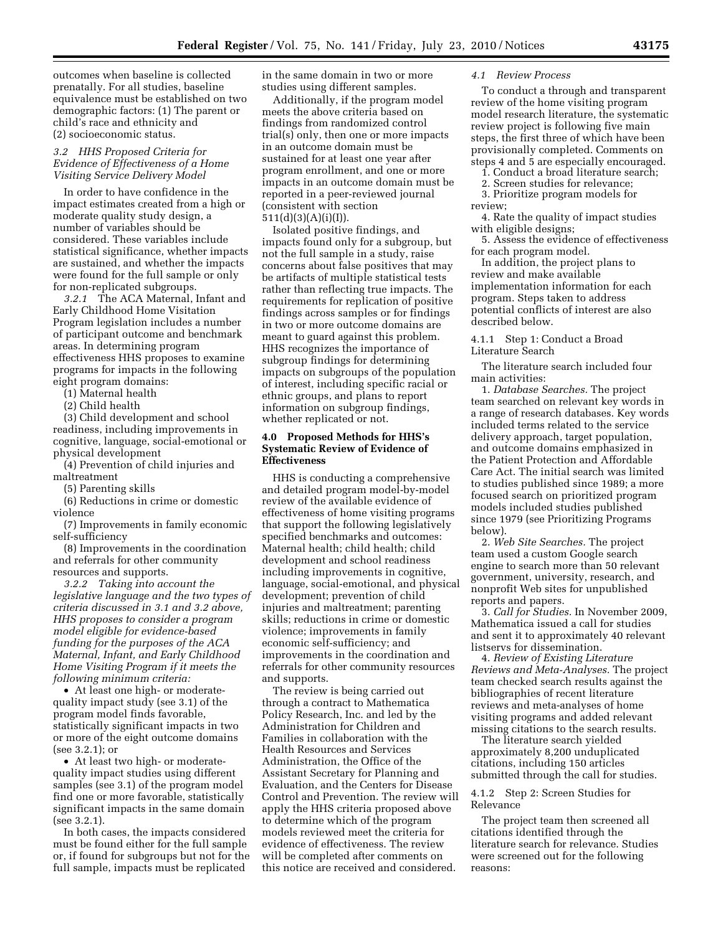outcomes when baseline is collected prenatally. For all studies, baseline equivalence must be established on two demographic factors: (1) The parent or child's race and ethnicity and (2) socioeconomic status.

## *3.2 HHS Proposed Criteria for Evidence of Effectiveness of a Home Visiting Service Delivery Model*

In order to have confidence in the impact estimates created from a high or moderate quality study design, a number of variables should be considered. These variables include statistical significance, whether impacts are sustained, and whether the impacts were found for the full sample or only for non-replicated subgroups.

*3.2.1* The ACA Maternal, Infant and Early Childhood Home Visitation Program legislation includes a number of participant outcome and benchmark areas. In determining program effectiveness HHS proposes to examine programs for impacts in the following eight program domains:

(1) Maternal health

(2) Child health

(3) Child development and school readiness, including improvements in cognitive, language, social-emotional or physical development

(4) Prevention of child injuries and maltreatment

(5) Parenting skills

(6) Reductions in crime or domestic violence

(7) Improvements in family economic self-sufficiency

(8) Improvements in the coordination and referrals for other community resources and supports.

*3.2.2 Taking into account the legislative language and the two types of criteria discussed in 3.1 and 3.2 above, HHS proposes to consider a program model eligible for evidence-based funding for the purposes of the ACA Maternal, Infant, and Early Childhood Home Visiting Program if it meets the following minimum criteria:* 

• At least one high- or moderatequality impact study (see 3.1) of the program model finds favorable, statistically significant impacts in two or more of the eight outcome domains (see 3.2.1); or

• At least two high- or moderatequality impact studies using different samples (see 3.1) of the program model find one or more favorable, statistically significant impacts in the same domain (see 3.2.1).

In both cases, the impacts considered must be found either for the full sample or, if found for subgroups but not for the full sample, impacts must be replicated

in the same domain in two or more studies using different samples.

Additionally, if the program model meets the above criteria based on findings from randomized control trial(s) only, then one or more impacts in an outcome domain must be sustained for at least one year after program enrollment, and one or more impacts in an outcome domain must be reported in a peer-reviewed journal (consistent with section 511(d)(3)(A)(i)(I)).

Isolated positive findings, and impacts found only for a subgroup, but not the full sample in a study, raise concerns about false positives that may be artifacts of multiple statistical tests rather than reflecting true impacts. The requirements for replication of positive findings across samples or for findings in two or more outcome domains are meant to guard against this problem. HHS recognizes the importance of subgroup findings for determining impacts on subgroups of the population of interest, including specific racial or ethnic groups, and plans to report information on subgroup findings, whether replicated or not.

### **4.0 Proposed Methods for HHS's Systematic Review of Evidence of Effectiveness**

HHS is conducting a comprehensive and detailed program model-by-model review of the available evidence of effectiveness of home visiting programs that support the following legislatively specified benchmarks and outcomes: Maternal health; child health; child development and school readiness including improvements in cognitive, language, social-emotional, and physical development; prevention of child injuries and maltreatment; parenting skills; reductions in crime or domestic violence; improvements in family economic self-sufficiency; and improvements in the coordination and referrals for other community resources and supports.

The review is being carried out through a contract to Mathematica Policy Research, Inc. and led by the Administration for Children and Families in collaboration with the Health Resources and Services Administration, the Office of the Assistant Secretary for Planning and Evaluation, and the Centers for Disease Control and Prevention. The review will apply the HHS criteria proposed above to determine which of the program models reviewed meet the criteria for evidence of effectiveness. The review will be completed after comments on this notice are received and considered.

## *4.1 Review Process*

To conduct a through and transparent review of the home visiting program model research literature, the systematic review project is following five main steps, the first three of which have been provisionally completed. Comments on steps 4 and 5 are especially encouraged.

1. Conduct a broad literature search;

2. Screen studies for relevance;

3. Prioritize program models for review;

4. Rate the quality of impact studies with eligible designs;

5. Assess the evidence of effectiveness for each program model.

In addition, the project plans to review and make available implementation information for each program. Steps taken to address potential conflicts of interest are also described below.

4.1.1 Step 1: Conduct a Broad Literature Search

The literature search included four main activities:

1. *Database Searches.* The project team searched on relevant key words in a range of research databases. Key words included terms related to the service delivery approach, target population, and outcome domains emphasized in the Patient Protection and Affordable Care Act. The initial search was limited to studies published since 1989; a more focused search on prioritized program models included studies published since 1979 (see Prioritizing Programs below).

2. *Web Site Searches.* The project team used a custom Google search engine to search more than 50 relevant government, university, research, and nonprofit Web sites for unpublished reports and papers.

3. *Call for Studies.* In November 2009, Mathematica issued a call for studies and sent it to approximately 40 relevant listservs for dissemination.

4. *Review of Existing Literature Reviews and Meta-Analyses.* The project team checked search results against the bibliographies of recent literature reviews and meta-analyses of home visiting programs and added relevant missing citations to the search results.

The literature search yielded approximately 8,200 unduplicated citations, including 150 articles submitted through the call for studies.

4.1.2 Step 2: Screen Studies for Relevance

The project team then screened all citations identified through the literature search for relevance. Studies were screened out for the following reasons: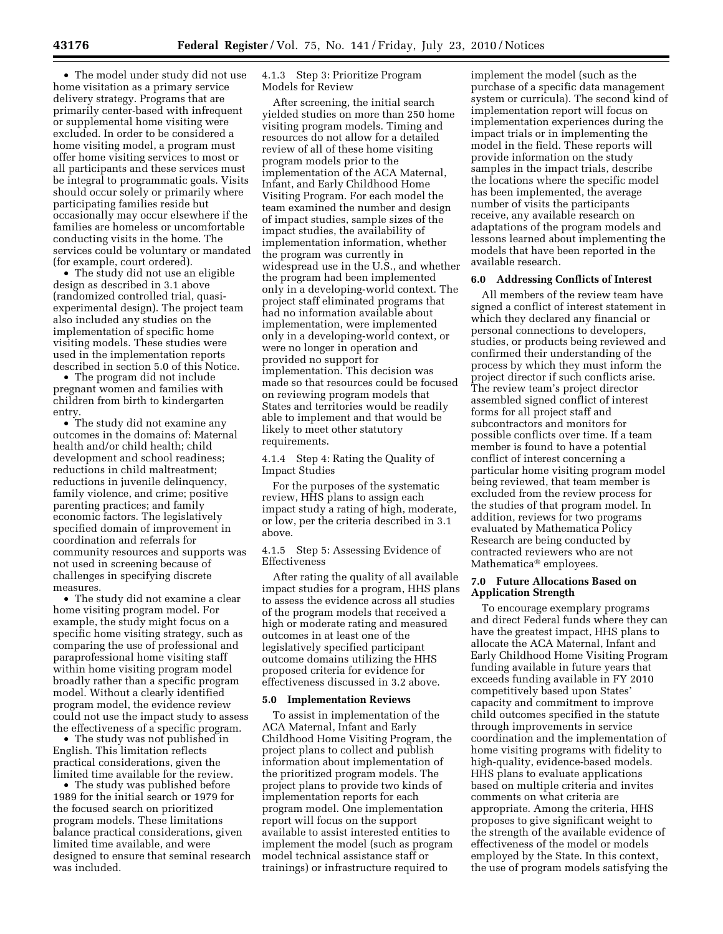• The model under study did not use home visitation as a primary service delivery strategy. Programs that are primarily center-based with infrequent or supplemental home visiting were excluded. In order to be considered a home visiting model, a program must offer home visiting services to most or all participants and these services must be integral to programmatic goals. Visits should occur solely or primarily where participating families reside but occasionally may occur elsewhere if the families are homeless or uncomfortable conducting visits in the home. The services could be voluntary or mandated (for example, court ordered).

• The study did not use an eligible design as described in 3.1 above (randomized controlled trial, quasiexperimental design). The project team also included any studies on the implementation of specific home visiting models. These studies were used in the implementation reports described in section 5.0 of this Notice.

• The program did not include pregnant women and families with children from birth to kindergarten entry.

• The study did not examine any outcomes in the domains of: Maternal health and/or child health; child development and school readiness; reductions in child maltreatment; reductions in juvenile delinquency, family violence, and crime; positive parenting practices; and family economic factors. The legislatively specified domain of improvement in coordination and referrals for community resources and supports was not used in screening because of challenges in specifying discrete measures.

• The study did not examine a clear home visiting program model. For example, the study might focus on a specific home visiting strategy, such as comparing the use of professional and paraprofessional home visiting staff within home visiting program model broadly rather than a specific program model. Without a clearly identified program model, the evidence review could not use the impact study to assess the effectiveness of a specific program.

• The study was not published in English. This limitation reflects practical considerations, given the limited time available for the review.

• The study was published before 1989 for the initial search or 1979 for the focused search on prioritized program models. These limitations balance practical considerations, given limited time available, and were designed to ensure that seminal research was included.

4.1.3 Step 3: Prioritize Program Models for Review

After screening, the initial search yielded studies on more than 250 home visiting program models. Timing and resources do not allow for a detailed review of all of these home visiting program models prior to the implementation of the ACA Maternal, Infant, and Early Childhood Home Visiting Program. For each model the team examined the number and design of impact studies, sample sizes of the impact studies, the availability of implementation information, whether the program was currently in widespread use in the U.S., and whether the program had been implemented only in a developing-world context. The project staff eliminated programs that had no information available about implementation, were implemented only in a developing-world context, or were no longer in operation and provided no support for implementation. This decision was made so that resources could be focused on reviewing program models that States and territories would be readily able to implement and that would be likely to meet other statutory requirements.

4.1.4 Step 4: Rating the Quality of Impact Studies

For the purposes of the systematic review, HHS plans to assign each impact study a rating of high, moderate, or low, per the criteria described in 3.1 above.

4.1.5 Step 5: Assessing Evidence of Effectiveness

After rating the quality of all available impact studies for a program, HHS plans to assess the evidence across all studies of the program models that received a high or moderate rating and measured outcomes in at least one of the legislatively specified participant outcome domains utilizing the HHS proposed criteria for evidence for effectiveness discussed in 3.2 above.

#### **5.0 Implementation Reviews**

To assist in implementation of the ACA Maternal, Infant and Early Childhood Home Visiting Program, the project plans to collect and publish information about implementation of the prioritized program models. The project plans to provide two kinds of implementation reports for each program model. One implementation report will focus on the support available to assist interested entities to implement the model (such as program model technical assistance staff or trainings) or infrastructure required to

implement the model (such as the purchase of a specific data management system or curricula). The second kind of implementation report will focus on implementation experiences during the impact trials or in implementing the model in the field. These reports will provide information on the study samples in the impact trials, describe the locations where the specific model has been implemented, the average number of visits the participants receive, any available research on adaptations of the program models and lessons learned about implementing the models that have been reported in the available research.

#### **6.0 Addressing Conflicts of Interest**

All members of the review team have signed a conflict of interest statement in which they declared any financial or personal connections to developers, studies, or products being reviewed and confirmed their understanding of the process by which they must inform the project director if such conflicts arise. The review team's project director assembled signed conflict of interest forms for all project staff and subcontractors and monitors for possible conflicts over time. If a team member is found to have a potential conflict of interest concerning a particular home visiting program model being reviewed, that team member is excluded from the review process for the studies of that program model. In addition, reviews for two programs evaluated by Mathematica Policy Research are being conducted by contracted reviewers who are not Mathematica® employees.

#### **7.0 Future Allocations Based on Application Strength**

To encourage exemplary programs and direct Federal funds where they can have the greatest impact, HHS plans to allocate the ACA Maternal, Infant and Early Childhood Home Visiting Program funding available in future years that exceeds funding available in FY 2010 competitively based upon States' capacity and commitment to improve child outcomes specified in the statute through improvements in service coordination and the implementation of home visiting programs with fidelity to high-quality, evidence-based models. HHS plans to evaluate applications based on multiple criteria and invites comments on what criteria are appropriate. Among the criteria, HHS proposes to give significant weight to the strength of the available evidence of effectiveness of the model or models employed by the State. In this context, the use of program models satisfying the